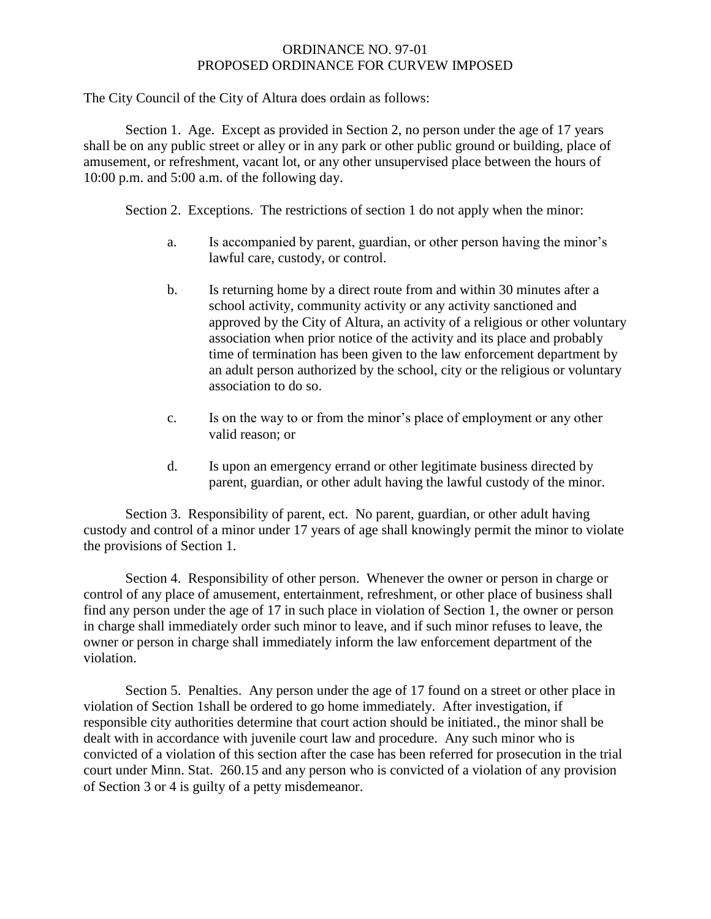## ORDINANCE NO. 97-01 PROPOSED ORDINANCE FOR CURVEW IMPOSED

The City Council of the City of Altura does ordain as follows:

Section 1. Age. Except as provided in Section 2, no person under the age of 17 years shall be on any public street or alley or in any park or other public ground or building, place of amusement, or refreshment, vacant lot, or any other unsupervised place between the hours of 10:00 p.m. and 5:00 a.m. of the following day.

Section 2. Exceptions. The restrictions of section 1 do not apply when the minor:

- a. Is accompanied by parent, guardian, or other person having the minor's lawful care, custody, or control.
- b. Is returning home by a direct route from and within 30 minutes after a school activity, community activity or any activity sanctioned and approved by the City of Altura, an activity of a religious or other voluntary association when prior notice of the activity and its place and probably time of termination has been given to the law enforcement department by an adult person authorized by the school, city or the religious or voluntary association to do so.
- c. Is on the way to or from the minor's place of employment or any other valid reason; or
- d. Is upon an emergency errand or other legitimate business directed by parent, guardian, or other adult having the lawful custody of the minor.

Section 3. Responsibility of parent, ect. No parent, guardian, or other adult having custody and control of a minor under 17 years of age shall knowingly permit the minor to violate the provisions of Section 1.

Section 4. Responsibility of other person. Whenever the owner or person in charge or control of any place of amusement, entertainment, refreshment, or other place of business shall find any person under the age of 17 in such place in violation of Section 1, the owner or person in charge shall immediately order such minor to leave, and if such minor refuses to leave, the owner or person in charge shall immediately inform the law enforcement department of the violation.

Section 5. Penalties. Any person under the age of 17 found on a street or other place in violation of Section 1shall be ordered to go home immediately. After investigation, if responsible city authorities determine that court action should be initiated., the minor shall be dealt with in accordance with juvenile court law and procedure. Any such minor who is convicted of a violation of this section after the case has been referred for prosecution in the trial court under Minn. Stat. 260.15 and any person who is convicted of a violation of any provision of Section 3 or 4 is guilty of a petty misdemeanor.